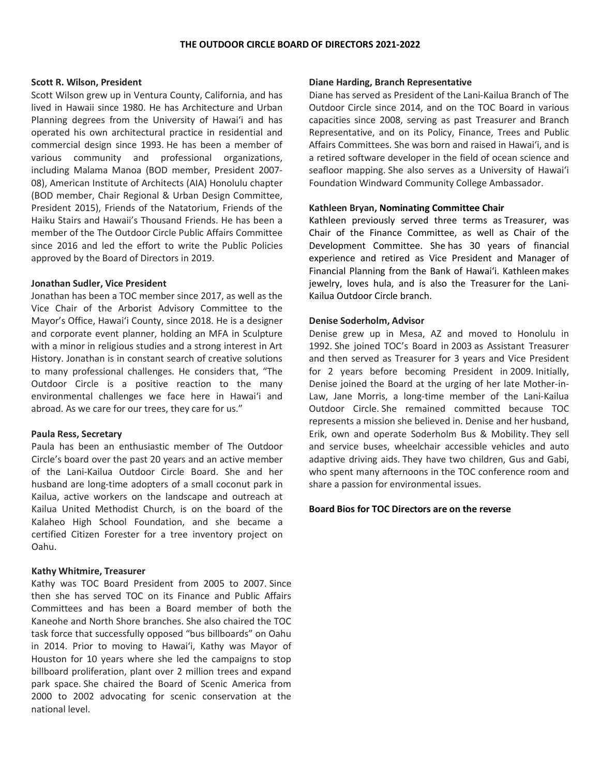## **Scott R. Wilson, President**

Scott Wilson grew up in Ventura County, California, and has lived in Hawaii since 1980. He has Architecture and Urban Planning degrees from the University of Hawai'i and has operated his own architectural practice in residential and commercial design since 1993. He has been a member of various community and professional organizations, including Malama Manoa (BOD member, President 2007- 08), American Institute of Architects (AIA) Honolulu chapter (BOD member, Chair Regional & Urban Design Committee, President 2015), Friends of the Natatorium, Friends of the Haiku Stairs and Hawaii's Thousand Friends. He has been a member of the The Outdoor Circle Public Affairs Committee since 2016 and led the effort to write the Public Policies approved by the Board of Directors in 2019.

# **Jonathan Sudler, Vice President**

Jonathan has been a TOC member since 2017, as well as the Vice Chair of the Arborist Advisory Committee to the Mayor's Office, Hawai'i County, since 2018. He is a designer and corporate event planner, holding an MFA in Sculpture with a minor in religious studies and a strong interest in Art History. Jonathan is in constant search of creative solutions to many professional challenges. He considers that, "The Outdoor Circle is a positive reaction to the many environmental challenges we face here in Hawai'i and abroad. As we care for our trees, they care for us."

#### **Paula Ress, Secretary**

Paula has been an enthusiastic member of The Outdoor Circle's board over the past 20 years and an active member of the Lani-Kailua Outdoor Circle Board. She and her husband are long-time adopters of a small coconut park in Kailua, active workers on the landscape and outreach at Kailua United Methodist Church, is on the board of the Kalaheo High School Foundation, and she became a certified Citizen Forester for a tree inventory project on Oahu.

# **Kathy Whitmire, Treasurer**

Kathy was TOC Board President from 2005 to 2007. Since then she has served TOC on its Finance and Public Affairs Committees and has been a Board member of both the Kaneohe and North Shore branches. She also chaired the TOC task force that successfully opposed "bus billboards" on Oahu in 2014. Prior to moving to Hawai'i, Kathy was Mayor of Houston for 10 years where she led the campaigns to stop billboard proliferation, plant over 2 million trees and expand park space. She chaired the Board of Scenic America from 2000 to 2002 advocating for scenic conservation at the national level.

# **Diane Harding, Branch Representative**

Diane has served as President of the Lani-Kailua Branch of The Outdoor Circle since 2014, and on the TOC Board in various capacities since 2008, serving as past Treasurer and Branch Representative, and on its Policy, Finance, Trees and Public Affairs Committees. She was born and raised in Hawai'i, and is a retired software developer in the field of ocean science and seafloor mapping. She also serves as a University of Hawai'i Foundation Windward Community College Ambassador.

# **Kathleen Bryan, Nominating Committee Chair**

Kathleen previously served three terms as Treasurer, was Chair of the Finance Committee, as well as Chair of the Development Committee. She has 30 years of financial experience and retired as Vice President and Manager of Financial Planning from the Bank of Hawai'i. Kathleen makes jewelry, loves hula, and is also the Treasurer for the Lani-Kailua Outdoor Circle branch.

# **Denise Soderholm, Advisor**

Denise grew up in Mesa, AZ and moved to Honolulu in 1992. She joined TOC's Board in 2003 as Assistant Treasurer and then served as Treasurer for 3 years and Vice President for 2 years before becoming President in 2009. Initially, Denise joined the Board at the urging of her late Mother-in-Law, Jane Morris, a long-time member of the Lani-Kailua Outdoor Circle. She remained committed because TOC represents a mission she believed in. Denise and her husband, Erik, own and operate Soderholm Bus & Mobility. They sell and service buses, wheelchair accessible vehicles and auto adaptive driving aids. They have two children, Gus and Gabi, who spent many afternoons in the TOC conference room and share a passion for environmental issues.

#### **Board Bios for TOC Directors are on the reverse**